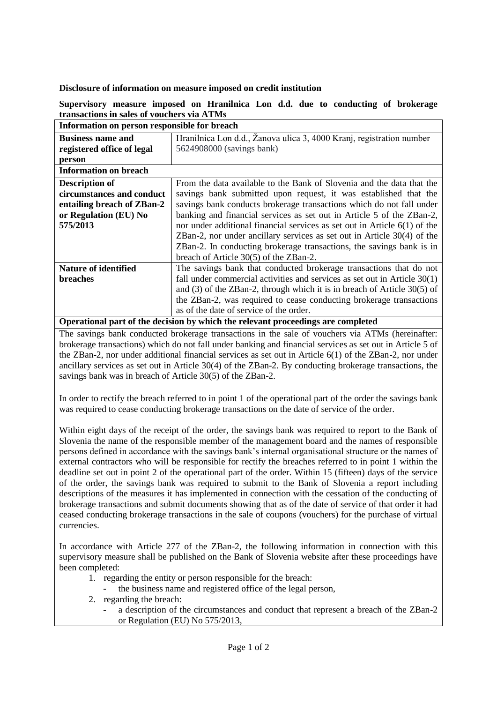## **Disclosure of information on measure imposed on credit institution**

## **Supervisory measure imposed on Hranilnica Lon d.d. due to conducting of brokerage transactions in sales of vouchers via ATMs Information on person responsible for breach**

## **Business name and registered office of legal person** Hranilnica Lon d.d., Žanova ulica 3, 4000 Kranj, registration number 5624908000 (savings bank) **Information on breach Description of circumstances and conduct entailing breach of ZBan-2 or Regulation (EU) No 575/2013**  From the data available to the Bank of Slovenia and the data that the savings bank submitted upon request, it was established that the savings bank conducts brokerage transactions which do not fall under banking and financial services as set out in Article 5 of the ZBan-2, nor under additional financial services as set out in Article 6(1) of the ZBan-2, nor under ancillary services as set out in Article 30(4) of the ZBan-2. In conducting brokerage transactions, the savings bank is in breach of Article 30(5) of the ZBan-2. **Nature of identified breaches** The savings bank that conducted brokerage transactions that do not fall under commercial activities and services as set out in Article 30(1) and (3) of the ZBan-2, through which it is in breach of Article 30(5) of the ZBan-2, was required to cease conducting brokerage transactions as of the date of service of the order.

**Operational part of the decision by which the relevant proceedings are completed**

The savings bank conducted brokerage transactions in the sale of vouchers via ATMs (hereinafter: brokerage transactions) which do not fall under banking and financial services as set out in Article 5 of the ZBan-2, nor under additional financial services as set out in Article 6(1) of the ZBan-2, nor under ancillary services as set out in Article 30(4) of the ZBan-2. By conducting brokerage transactions, the savings bank was in breach of Article 30(5) of the ZBan-2.

In order to rectify the breach referred to in point 1 of the operational part of the order the savings bank was required to cease conducting brokerage transactions on the date of service of the order.

Within eight days of the receipt of the order, the savings bank was required to report to the Bank of Slovenia the name of the responsible member of the management board and the names of responsible persons defined in accordance with the savings bank's internal organisational structure or the names of external contractors who will be responsible for rectify the breaches referred to in point 1 within the deadline set out in point 2 of the operational part of the order. Within 15 (fifteen) days of the service of the order, the savings bank was required to submit to the Bank of Slovenia a report including descriptions of the measures it has implemented in connection with the cessation of the conducting of brokerage transactions and submit documents showing that as of the date of service of that order it had ceased conducting brokerage transactions in the sale of coupons (vouchers) for the purchase of virtual currencies.

In accordance with Article 277 of the ZBan-2, the following information in connection with this supervisory measure shall be published on the Bank of Slovenia website after these proceedings have been completed:

- 1. regarding the entity or person responsible for the breach:
	- the business name and registered office of the legal person,
- 2. regarding the breach:
	- a description of the circumstances and conduct that represent a breach of the ZBan-2 or Regulation (EU) No 575/2013,